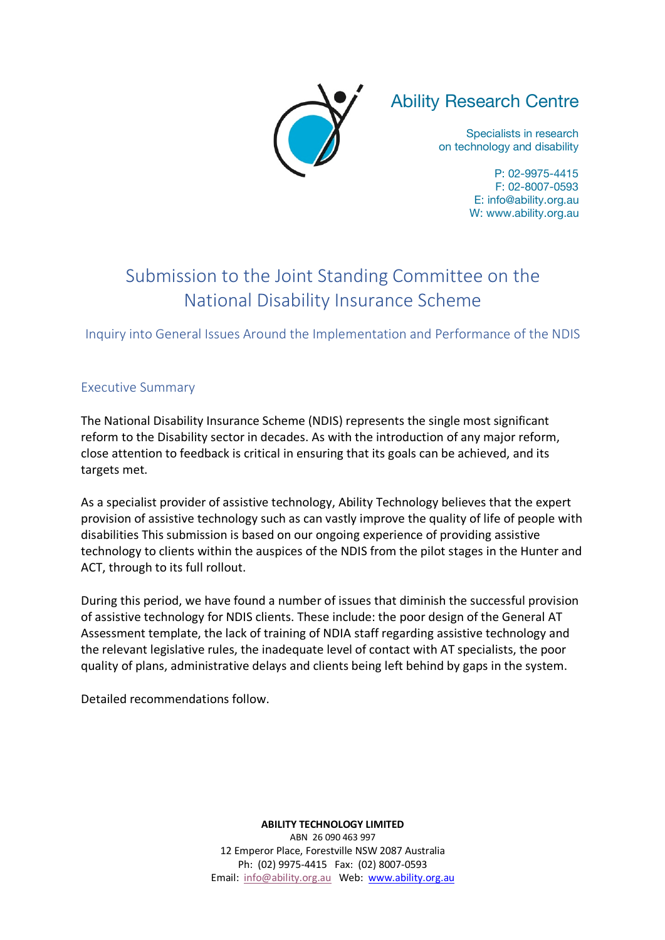

# Ability Research Centre

Specialists in research on technology and disability

> P: 02-9975-4415 F: 02-8007-0593 E: info@ability.org.au W: www.ability.org.au

# Submission to the Joint Standing Committee on the National Disability Insurance Scheme

Inquiry into General Issues Around the Implementation and Performance of the NDIS

# Executive Summary

The National Disability Insurance Scheme (NDIS) represents the single most significant reform to the Disability sector in decades. As with the introduction of any major reform, close attention to feedback is critical in ensuring that its goals can be achieved, and its targets met.

As a specialist provider of assistive technology, Ability Technology believes that the expert provision of assistive technology such as can vastly improve the quality of life of people with disabilities This submission is based on our ongoing experience of providing assistive technology to clients within the auspices of the NDIS from the pilot stages in the Hunter and ACT, through to its full rollout.

During this period, we have found a number of issues that diminish the successful provision of assistive technology for NDIS clients. These include: the poor design of the General AT Assessment template, the lack of training of NDIA staff regarding assistive technology and the relevant legislative rules, the inadequate level of contact with AT specialists, the poor quality of plans, administrative delays and clients being left behind by gaps in the system.

Detailed recommendations follow.

**ABILITY TECHNOLOGY LIMITED** ABN 26 090 463 997 12 Emperor Place, Forestville NSW 2087 Australia Ph: (02) 9975-4415 Fax: (02) 8007-0593 Email: info@ability.org.au Web: www.ability.org.au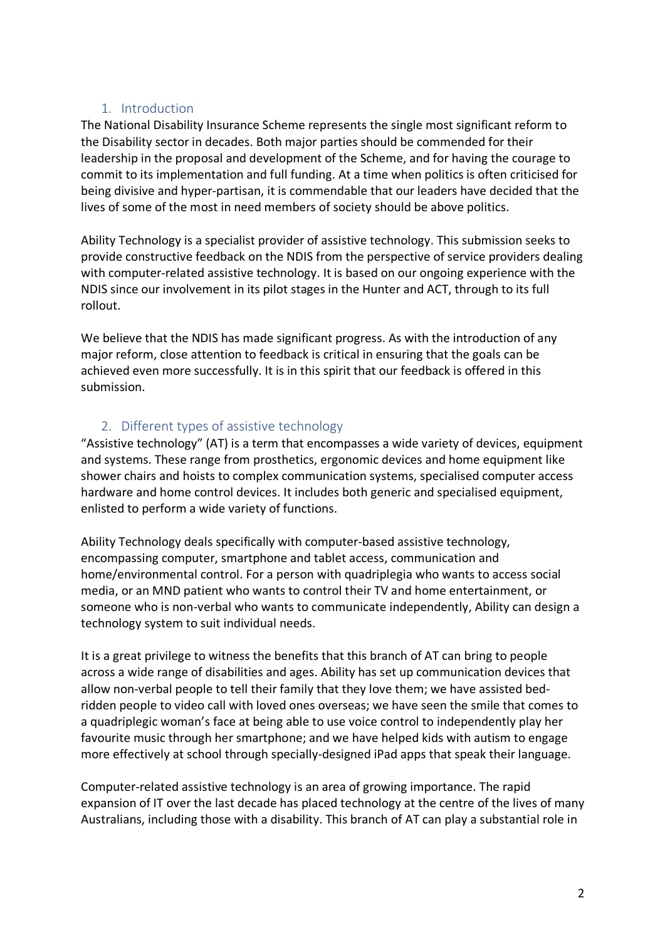# 1. Introduction

The National Disability Insurance Scheme represents the single most significant reform to the Disability sector in decades. Both major parties should be commended for their leadership in the proposal and development of the Scheme, and for having the courage to commit to its implementation and full funding. At a time when politics is often criticised for being divisive and hyper-partisan, it is commendable that our leaders have decided that the lives of some of the most in need members of society should be above politics.

Ability Technology is a specialist provider of assistive technology. This submission seeks to provide constructive feedback on the NDIS from the perspective of service providers dealing with computer-related assistive technology. It is based on our ongoing experience with the NDIS since our involvement in its pilot stages in the Hunter and ACT, through to its full rollout.

We believe that the NDIS has made significant progress. As with the introduction of any major reform, close attention to feedback is critical in ensuring that the goals can be achieved even more successfully. It is in this spirit that our feedback is offered in this submission.

## 2. Different types of assistive technology

"Assistive technology" (AT) is a term that encompasses a wide variety of devices, equipment and systems. These range from prosthetics, ergonomic devices and home equipment like shower chairs and hoists to complex communication systems, specialised computer access hardware and home control devices. It includes both generic and specialised equipment, enlisted to perform a wide variety of functions.

Ability Technology deals specifically with computer-based assistive technology, encompassing computer, smartphone and tablet access, communication and home/environmental control. For a person with quadriplegia who wants to access social media, or an MND patient who wants to control their TV and home entertainment, or someone who is non-verbal who wants to communicate independently, Ability can design a technology system to suit individual needs.

It is a great privilege to witness the benefits that this branch of AT can bring to people across a wide range of disabilities and ages. Ability has set up communication devices that allow non-verbal people to tell their family that they love them; we have assisted bedridden people to video call with loved ones overseas; we have seen the smile that comes to a quadriplegic woman's face at being able to use voice control to independently play her favourite music through her smartphone; and we have helped kids with autism to engage more effectively at school through specially-designed iPad apps that speak their language.

Computer-related assistive technology is an area of growing importance. The rapid expansion of IT over the last decade has placed technology at the centre of the lives of many Australians, including those with a disability. This branch of AT can play a substantial role in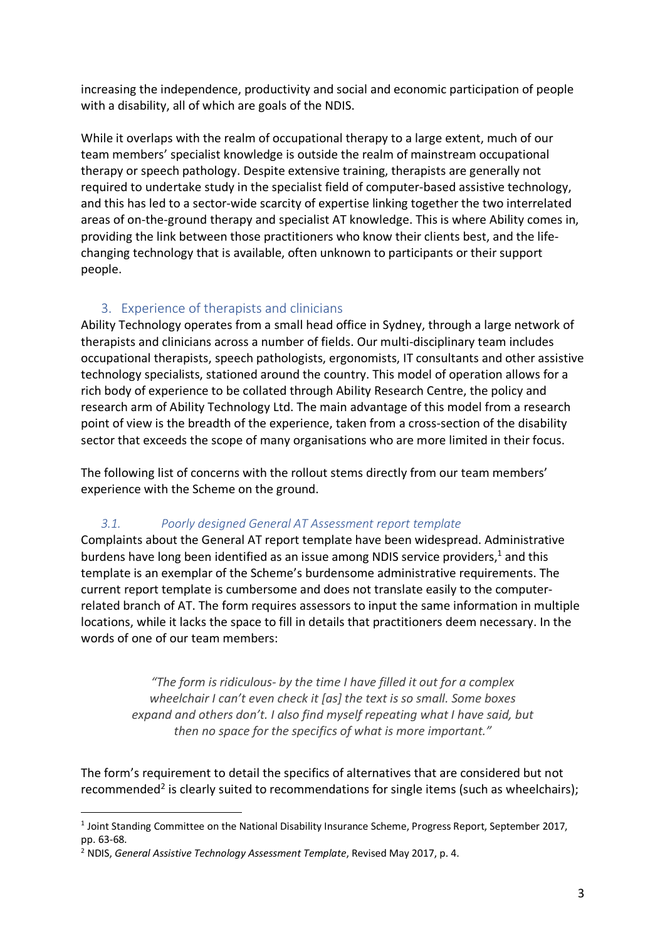increasing the independence, productivity and social and economic participation of people with a disability, all of which are goals of the NDIS.

While it overlaps with the realm of occupational therapy to a large extent, much of our team members' specialist knowledge is outside the realm of mainstream occupational therapy or speech pathology. Despite extensive training, therapists are generally not required to undertake study in the specialist field of computer-based assistive technology, and this has led to a sector-wide scarcity of expertise linking together the two interrelated areas of on-the-ground therapy and specialist AT knowledge. This is where Ability comes in, providing the link between those practitioners who know their clients best, and the lifechanging technology that is available, often unknown to participants or their support people.

# 3. Experience of therapists and clinicians

Ability Technology operates from a small head office in Sydney, through a large network of therapists and clinicians across a number of fields. Our multi-disciplinary team includes occupational therapists, speech pathologists, ergonomists, IT consultants and other assistive technology specialists, stationed around the country. This model of operation allows for a rich body of experience to be collated through Ability Research Centre, the policy and research arm of Ability Technology Ltd. The main advantage of this model from a research point of view is the breadth of the experience, taken from a cross-section of the disability sector that exceeds the scope of many organisations who are more limited in their focus.

The following list of concerns with the rollout stems directly from our team members' experience with the Scheme on the ground.

# *3.1. Poorly designed General AT Assessment report template*

Complaints about the General AT report template have been widespread. Administrative burdens have long been identified as an issue among NDIS service providers,<sup>1</sup> and this template is an exemplar of the Scheme's burdensome administrative requirements. The current report template is cumbersome and does not translate easily to the computerrelated branch of AT. The form requires assessors to input the same information in multiple locations, while it lacks the space to fill in details that practitioners deem necessary. In the words of one of our team members:

> *"The form is ridiculous- by the time I have filled it out for a complex wheelchair I can't even check it [as] the text is so small. Some boxes expand and others don't. I also find myself repeating what I have said, but then no space for the specifics of what is more important."*

The form's requirement to detail the specifics of alternatives that are considered but not recommended<sup>2</sup> is clearly suited to recommendations for single items (such as wheelchairs);

 <sup>1</sup> Joint Standing Committee on the National Disability Insurance Scheme, Progress Report, September 2017, pp. 63-68.

<sup>2</sup> NDIS, *General Assistive Technology Assessment Template*, Revised May 2017, p. 4.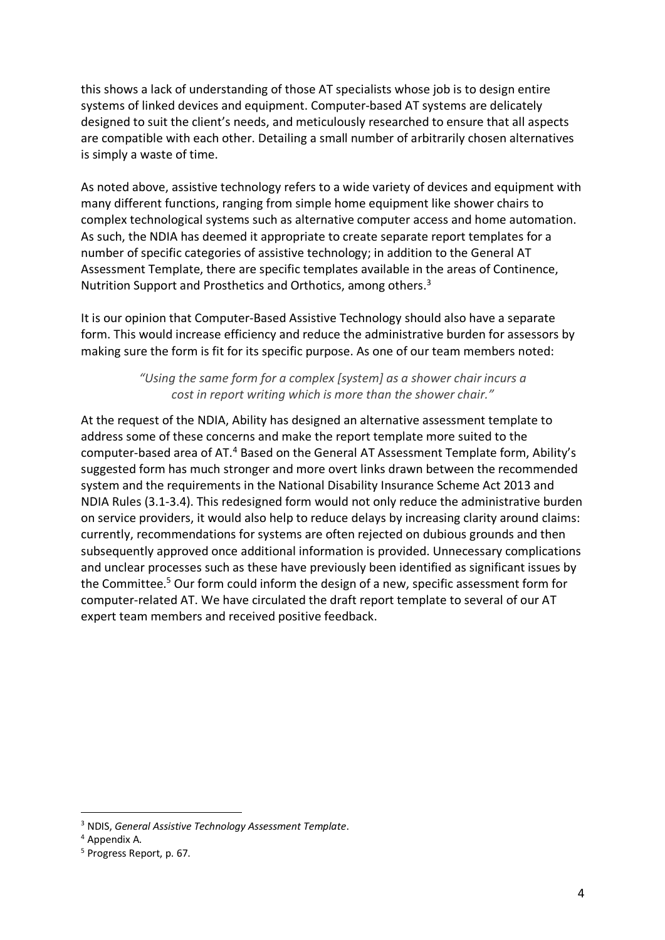this shows a lack of understanding of those AT specialists whose job is to design entire systems of linked devices and equipment. Computer-based AT systems are delicately designed to suit the client's needs, and meticulously researched to ensure that all aspects are compatible with each other. Detailing a small number of arbitrarily chosen alternatives is simply a waste of time.

As noted above, assistive technology refers to a wide variety of devices and equipment with many different functions, ranging from simple home equipment like shower chairs to complex technological systems such as alternative computer access and home automation. As such, the NDIA has deemed it appropriate to create separate report templates for a number of specific categories of assistive technology; in addition to the General AT Assessment Template, there are specific templates available in the areas of Continence, Nutrition Support and Prosthetics and Orthotics, among others.<sup>3</sup>

It is our opinion that Computer-Based Assistive Technology should also have a separate form. This would increase efficiency and reduce the administrative burden for assessors by making sure the form is fit for its specific purpose. As one of our team members noted:

> *"Using the same form for a complex [system] as a shower chair incurs a cost in report writing which is more than the shower chair."*

At the request of the NDIA, Ability has designed an alternative assessment template to address some of these concerns and make the report template more suited to the computer-based area of AT.<sup>4</sup> Based on the General AT Assessment Template form, Ability's suggested form has much stronger and more overt links drawn between the recommended system and the requirements in the National Disability Insurance Scheme Act 2013 and NDIA Rules (3.1-3.4). This redesigned form would not only reduce the administrative burden on service providers, it would also help to reduce delays by increasing clarity around claims: currently, recommendations for systems are often rejected on dubious grounds and then subsequently approved once additional information is provided. Unnecessary complications and unclear processes such as these have previously been identified as significant issues by the Committee. <sup>5</sup> Our form could inform the design of a new, specific assessment form for computer-related AT. We have circulated the draft report template to several of our AT expert team members and received positive feedback.

 <sup>3</sup> NDIS, *General Assistive Technology Assessment Template*.

<sup>4</sup> Appendix A.

<sup>5</sup> Progress Report, p. 67.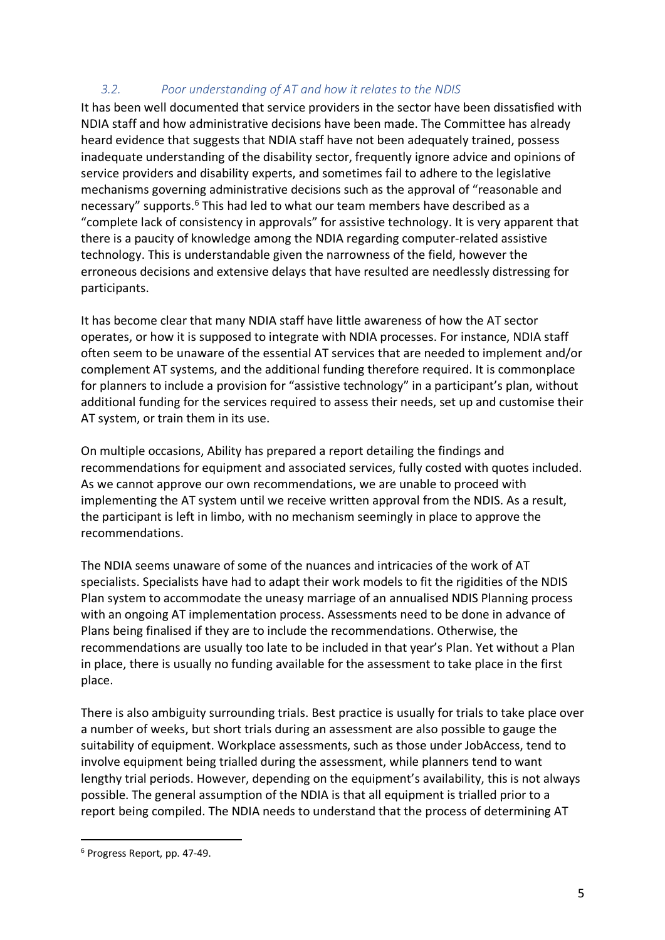# *3.2. Poor understanding of AT and how it relates to the NDIS*

It has been well documented that service providers in the sector have been dissatisfied with NDIA staff and how administrative decisions have been made. The Committee has already heard evidence that suggests that NDIA staff have not been adequately trained, possess inadequate understanding of the disability sector, frequently ignore advice and opinions of service providers and disability experts, and sometimes fail to adhere to the legislative mechanisms governing administrative decisions such as the approval of "reasonable and necessary" supports.6 This had led to what our team members have described as a "complete lack of consistency in approvals" for assistive technology. It is very apparent that there is a paucity of knowledge among the NDIA regarding computer-related assistive technology. This is understandable given the narrowness of the field, however the erroneous decisions and extensive delays that have resulted are needlessly distressing for participants.

It has become clear that many NDIA staff have little awareness of how the AT sector operates, or how it is supposed to integrate with NDIA processes. For instance, NDIA staff often seem to be unaware of the essential AT services that are needed to implement and/or complement AT systems, and the additional funding therefore required. It is commonplace for planners to include a provision for "assistive technology" in a participant's plan, without additional funding for the services required to assess their needs, set up and customise their AT system, or train them in its use.

On multiple occasions, Ability has prepared a report detailing the findings and recommendations for equipment and associated services, fully costed with quotes included. As we cannot approve our own recommendations, we are unable to proceed with implementing the AT system until we receive written approval from the NDIS. As a result, the participant is left in limbo, with no mechanism seemingly in place to approve the recommendations.

The NDIA seems unaware of some of the nuances and intricacies of the work of AT specialists. Specialists have had to adapt their work models to fit the rigidities of the NDIS Plan system to accommodate the uneasy marriage of an annualised NDIS Planning process with an ongoing AT implementation process. Assessments need to be done in advance of Plans being finalised if they are to include the recommendations. Otherwise, the recommendations are usually too late to be included in that year's Plan. Yet without a Plan in place, there is usually no funding available for the assessment to take place in the first place.

There is also ambiguity surrounding trials. Best practice is usually for trials to take place over a number of weeks, but short trials during an assessment are also possible to gauge the suitability of equipment. Workplace assessments, such as those under JobAccess, tend to involve equipment being trialled during the assessment, while planners tend to want lengthy trial periods. However, depending on the equipment's availability, this is not always possible. The general assumption of the NDIA is that all equipment is trialled prior to a report being compiled. The NDIA needs to understand that the process of determining AT

 <sup>6</sup> Progress Report, pp. 47-49.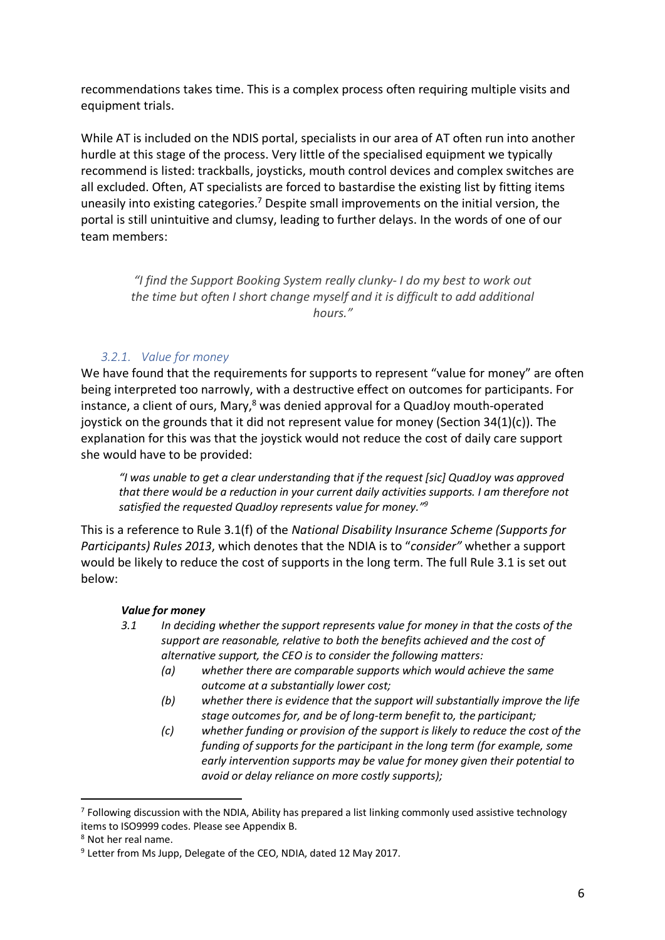recommendations takes time. This is a complex process often requiring multiple visits and equipment trials.

While AT is included on the NDIS portal, specialists in our area of AT often run into another hurdle at this stage of the process. Very little of the specialised equipment we typically recommend is listed: trackballs, joysticks, mouth control devices and complex switches are all excluded. Often, AT specialists are forced to bastardise the existing list by fitting items uneasily into existing categories.7 Despite small improvements on the initial version, the portal is still unintuitive and clumsy, leading to further delays. In the words of one of our team members:

> *"I find the Support Booking System really clunky- I do my best to work out the time but often I short change myself and it is difficult to add additional hours."*

#### *3.2.1. Value for money*

We have found that the requirements for supports to represent "value for money" are often being interpreted too narrowly, with a destructive effect on outcomes for participants. For instance, a client of ours, Mary, $8$  was denied approval for a QuadJoy mouth-operated joystick on the grounds that it did not represent value for money (Section 34(1)(c)). The explanation for this was that the joystick would not reduce the cost of daily care support she would have to be provided:

*"I was unable to get a clear understanding that if the request [sic] QuadJoy was approved that there would be a reduction in your current daily activities supports. I am therefore not satisfied the requested QuadJoy represents value for money."9*

This is a reference to Rule 3.1(f) of the *National Disability Insurance Scheme (Supports for Participants) Rules 2013*, which denotes that the NDIA is to "*consider"* whether a support would be likely to reduce the cost of supports in the long term. The full Rule 3.1 is set out below:

#### *Value for money*

- *3.1 In deciding whether the support represents value for money in that the costs of the support are reasonable, relative to both the benefits achieved and the cost of alternative support, the CEO is to consider the following matters:*
	- *(a) whether there are comparable supports which would achieve the same outcome at a substantially lower cost;*
	- *(b) whether there is evidence that the support will substantially improve the life stage outcomes for, and be of long-term benefit to, the participant;*
	- *(c) whether funding or provision of the support is likely to reduce the cost of the funding of supports for the participant in the long term (for example, some early intervention supports may be value for money given their potential to avoid or delay reliance on more costly supports);*

<sup>&</sup>lt;sup>7</sup> Following discussion with the NDIA, Ability has prepared a list linking commonly used assistive technology items to ISO9999 codes. Please see Appendix B.

<sup>8</sup> Not her real name.

<sup>&</sup>lt;sup>9</sup> Letter from Ms Jupp, Delegate of the CEO, NDIA, dated 12 May 2017.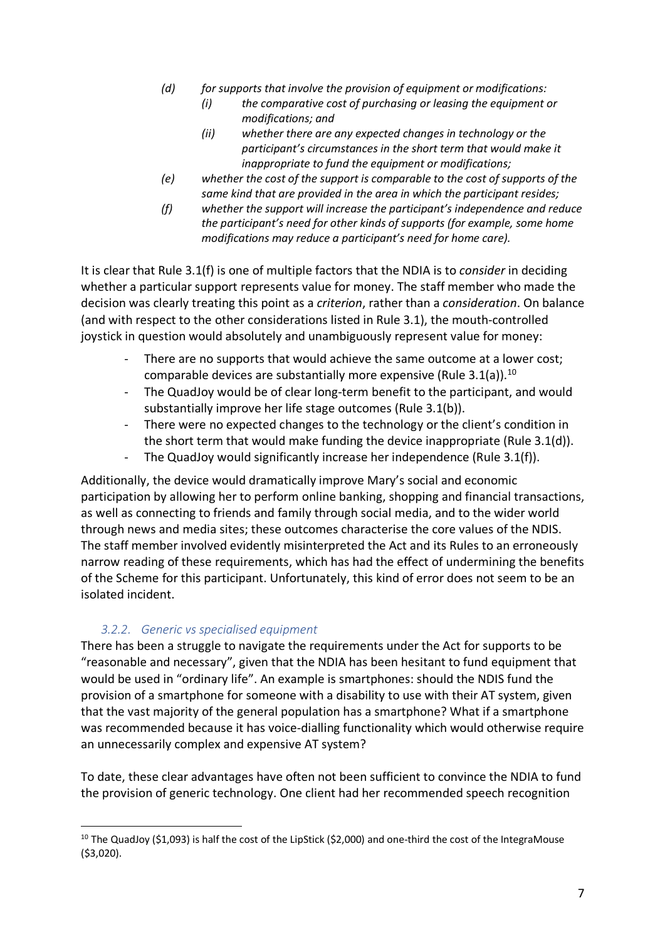- *(d) for supports that involve the provision of equipment or modifications:*
	- *(i) the comparative cost of purchasing or leasing the equipment or modifications; and*
	- *(ii) whether there are any expected changes in technology or the participant's circumstances in the short term that would make it inappropriate to fund the equipment or modifications;*
- *(e) whether the cost of the support is comparable to the cost of supports of the same kind that are provided in the area in which the participant resides;*
- *(f) whether the support will increase the participant's independence and reduce the participant's need for other kinds of supports (for example, some home modifications may reduce a participant's need for home care).*

It is clear that Rule 3.1(f) is one of multiple factors that the NDIA is to *consider* in deciding whether a particular support represents value for money. The staff member who made the decision was clearly treating this point as a *criterion*, rather than a *consideration*. On balance (and with respect to the other considerations listed in Rule 3.1), the mouth-controlled joystick in question would absolutely and unambiguously represent value for money:

- There are no supports that would achieve the same outcome at a lower cost; comparable devices are substantially more expensive (Rule  $3.1(a)$ ).<sup>10</sup>
- The QuadJoy would be of clear long-term benefit to the participant, and would substantially improve her life stage outcomes (Rule 3.1(b)).
- There were no expected changes to the technology or the client's condition in the short term that would make funding the device inappropriate (Rule 3.1(d)).
- The QuadJoy would significantly increase her independence (Rule 3.1(f)).

Additionally, the device would dramatically improve Mary's social and economic participation by allowing her to perform online banking, shopping and financial transactions, as well as connecting to friends and family through social media, and to the wider world through news and media sites; these outcomes characterise the core values of the NDIS. The staff member involved evidently misinterpreted the Act and its Rules to an erroneously narrow reading of these requirements, which has had the effect of undermining the benefits of the Scheme for this participant. Unfortunately, this kind of error does not seem to be an isolated incident.

# *3.2.2. Generic vs specialised equipment*

There has been a struggle to navigate the requirements under the Act for supports to be "reasonable and necessary", given that the NDIA has been hesitant to fund equipment that would be used in "ordinary life". An example is smartphones: should the NDIS fund the provision of a smartphone for someone with a disability to use with their AT system, given that the vast majority of the general population has a smartphone? What if a smartphone was recommended because it has voice-dialling functionality which would otherwise require an unnecessarily complex and expensive AT system?

To date, these clear advantages have often not been sufficient to convince the NDIA to fund the provision of generic technology. One client had her recommended speech recognition

<sup>&</sup>lt;sup>10</sup> The QuadJoy (\$1,093) is half the cost of the LipStick (\$2,000) and one-third the cost of the IntegraMouse (\$3,020).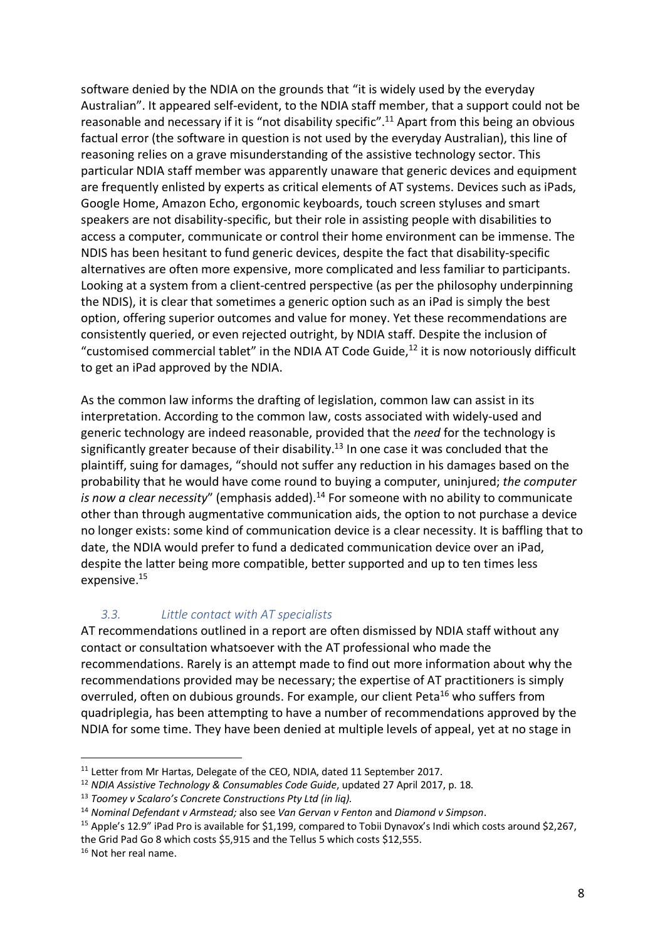software denied by the NDIA on the grounds that "it is widely used by the everyday Australian". It appeared self-evident, to the NDIA staff member, that a support could not be reasonable and necessary if it is "not disability specific".<sup>11</sup> Apart from this being an obvious factual error (the software in question is not used by the everyday Australian), this line of reasoning relies on a grave misunderstanding of the assistive technology sector. This particular NDIA staff member was apparently unaware that generic devices and equipment are frequently enlisted by experts as critical elements of AT systems. Devices such as iPads, Google Home, Amazon Echo, ergonomic keyboards, touch screen styluses and smart speakers are not disability-specific, but their role in assisting people with disabilities to access a computer, communicate or control their home environment can be immense. The NDIS has been hesitant to fund generic devices, despite the fact that disability-specific alternatives are often more expensive, more complicated and less familiar to participants. Looking at a system from a client-centred perspective (as per the philosophy underpinning the NDIS), it is clear that sometimes a generic option such as an iPad is simply the best option, offering superior outcomes and value for money. Yet these recommendations are consistently queried, or even rejected outright, by NDIA staff. Despite the inclusion of "customised commercial tablet" in the NDIA AT Code Guide, $^{12}$  it is now notoriously difficult to get an iPad approved by the NDIA.

As the common law informs the drafting of legislation, common law can assist in its interpretation. According to the common law, costs associated with widely-used and generic technology are indeed reasonable, provided that the *need* for the technology is significantly greater because of their disability.<sup>13</sup> In one case it was concluded that the plaintiff, suing for damages, "should not suffer any reduction in his damages based on the probability that he would have come round to buying a computer, uninjured; *the computer*  is now a clear necessity" (emphasis added).<sup>14</sup> For someone with no ability to communicate other than through augmentative communication aids, the option to not purchase a device no longer exists: some kind of communication device is a clear necessity. It is baffling that to date, the NDIA would prefer to fund a dedicated communication device over an iPad, despite the latter being more compatible, better supported and up to ten times less expensive.<sup>15</sup>

# *3.3. Little contact with AT specialists*

AT recommendations outlined in a report are often dismissed by NDIA staff without any contact or consultation whatsoever with the AT professional who made the recommendations. Rarely is an attempt made to find out more information about why the recommendations provided may be necessary; the expertise of AT practitioners is simply overruled, often on dubious grounds. For example, our client Peta<sup>16</sup> who suffers from quadriplegia, has been attempting to have a number of recommendations approved by the NDIA for some time. They have been denied at multiple levels of appeal, yet at no stage in

<sup>&</sup>lt;sup>11</sup> Letter from Mr Hartas, Delegate of the CEO, NDIA, dated 11 September 2017.

<sup>12</sup> *NDIA Assistive Technology & Consumables Code Guide*, updated 27 April 2017, p. 18.

<sup>13</sup> *Toomey v Scalaro's Concrete Constructions Pty Ltd (in liq).*

<sup>14</sup> *Nominal Defendant v Armstead;* also see *Van Gervan v Fenton* and *Diamond v Simpson*.

<sup>&</sup>lt;sup>15</sup> Apple's 12.9" iPad Pro is available for \$1,199, compared to Tobii Dynavox's Indi which costs around \$2,267, the Grid Pad Go 8 which costs \$5,915 and the Tellus 5 which costs \$12,555.

<sup>&</sup>lt;sup>16</sup> Not her real name.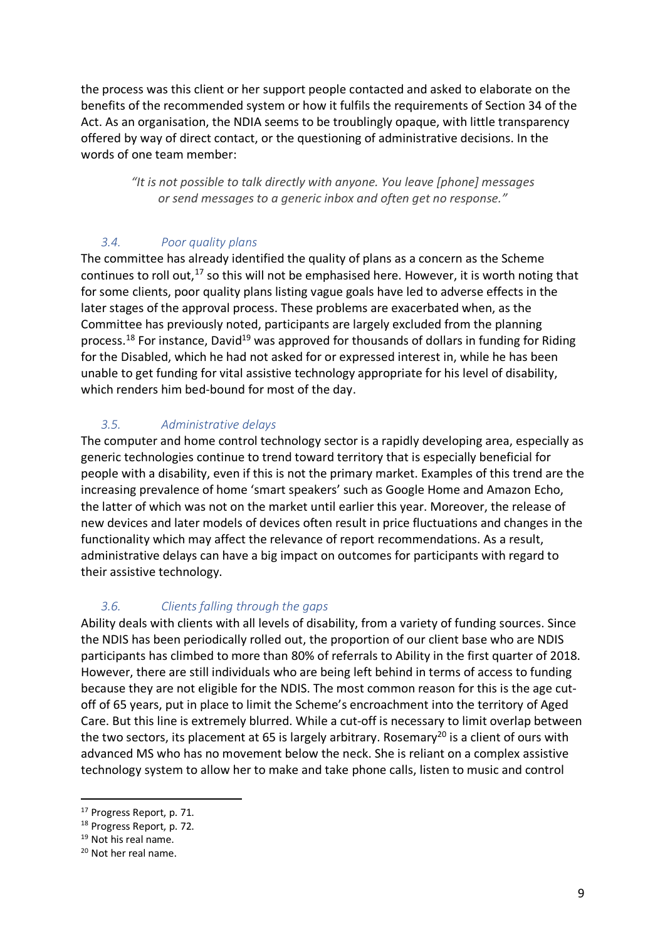the process was this client or her support people contacted and asked to elaborate on the benefits of the recommended system or how it fulfils the requirements of Section 34 of the Act. As an organisation, the NDIA seems to be troublingly opaque, with little transparency offered by way of direct contact, or the questioning of administrative decisions. In the words of one team member:

> *"It is not possible to talk directly with anyone. You leave [phone] messages or send messages to a generic inbox and often get no response."*

# *3.4. Poor quality plans*

The committee has already identified the quality of plans as a concern as the Scheme continues to roll out,<sup>17</sup> so this will not be emphasised here. However, it is worth noting that for some clients, poor quality plans listing vague goals have led to adverse effects in the later stages of the approval process. These problems are exacerbated when, as the Committee has previously noted, participants are largely excluded from the planning process.<sup>18</sup> For instance, David<sup>19</sup> was approved for thousands of dollars in funding for Riding for the Disabled, which he had not asked for or expressed interest in, while he has been unable to get funding for vital assistive technology appropriate for his level of disability, which renders him bed-bound for most of the day.

# *3.5. Administrative delays*

The computer and home control technology sector is a rapidly developing area, especially as generic technologies continue to trend toward territory that is especially beneficial for people with a disability, even if this is not the primary market. Examples of this trend are the increasing prevalence of home 'smart speakers' such as Google Home and Amazon Echo, the latter of which was not on the market until earlier this year. Moreover, the release of new devices and later models of devices often result in price fluctuations and changes in the functionality which may affect the relevance of report recommendations. As a result, administrative delays can have a big impact on outcomes for participants with regard to their assistive technology.

# *3.6. Clients falling through the gaps*

Ability deals with clients with all levels of disability, from a variety of funding sources. Since the NDIS has been periodically rolled out, the proportion of our client base who are NDIS participants has climbed to more than 80% of referrals to Ability in the first quarter of 2018. However, there are still individuals who are being left behind in terms of access to funding because they are not eligible for the NDIS. The most common reason for this is the age cutoff of 65 years, put in place to limit the Scheme's encroachment into the territory of Aged Care. But this line is extremely blurred. While a cut-off is necessary to limit overlap between the two sectors, its placement at 65 is largely arbitrary. Rosemary<sup>20</sup> is a client of ours with advanced MS who has no movement below the neck. She is reliant on a complex assistive technology system to allow her to make and take phone calls, listen to music and control

 <sup>17</sup> Progress Report, p. 71.

<sup>18</sup> Progress Report, p. 72.

<sup>19</sup> Not his real name.

<sup>20</sup> Not her real name.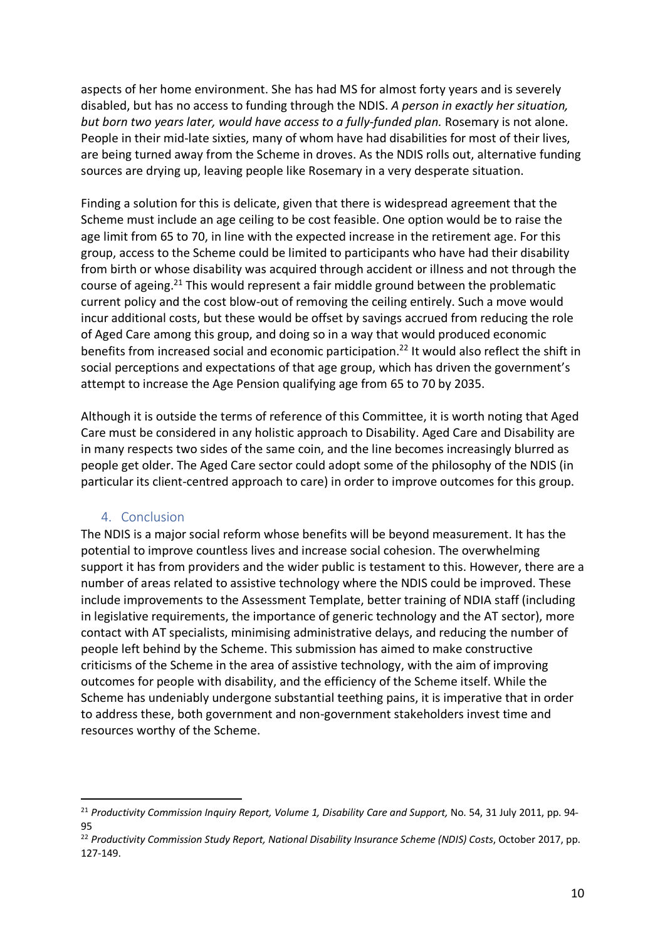aspects of her home environment. She has had MS for almost forty years and is severely disabled, but has no access to funding through the NDIS. *A person in exactly her situation, but born two years later, would have access to a fully-funded plan.* Rosemary is not alone. People in their mid-late sixties, many of whom have had disabilities for most of their lives, are being turned away from the Scheme in droves. As the NDIS rolls out, alternative funding sources are drying up, leaving people like Rosemary in a very desperate situation.

Finding a solution for this is delicate, given that there is widespread agreement that the Scheme must include an age ceiling to be cost feasible. One option would be to raise the age limit from 65 to 70, in line with the expected increase in the retirement age. For this group, access to the Scheme could be limited to participants who have had their disability from birth or whose disability was acquired through accident or illness and not through the course of ageing.<sup>21</sup> This would represent a fair middle ground between the problematic current policy and the cost blow-out of removing the ceiling entirely. Such a move would incur additional costs, but these would be offset by savings accrued from reducing the role of Aged Care among this group, and doing so in a way that would produced economic benefits from increased social and economic participation. <sup>22</sup> It would also reflect the shift in social perceptions and expectations of that age group, which has driven the government's attempt to increase the Age Pension qualifying age from 65 to 70 by 2035.

Although it is outside the terms of reference of this Committee, it is worth noting that Aged Care must be considered in any holistic approach to Disability. Aged Care and Disability are in many respects two sides of the same coin, and the line becomes increasingly blurred as people get older. The Aged Care sector could adopt some of the philosophy of the NDIS (in particular its client-centred approach to care) in order to improve outcomes for this group.

### 4. Conclusion

The NDIS is a major social reform whose benefits will be beyond measurement. It has the potential to improve countless lives and increase social cohesion. The overwhelming support it has from providers and the wider public is testament to this. However, there are a number of areas related to assistive technology where the NDIS could be improved. These include improvements to the Assessment Template, better training of NDIA staff (including in legislative requirements, the importance of generic technology and the AT sector), more contact with AT specialists, minimising administrative delays, and reducing the number of people left behind by the Scheme. This submission has aimed to make constructive criticisms of the Scheme in the area of assistive technology, with the aim of improving outcomes for people with disability, and the efficiency of the Scheme itself. While the Scheme has undeniably undergone substantial teething pains, it is imperative that in order to address these, both government and non-government stakeholders invest time and resources worthy of the Scheme.

 <sup>21</sup> *Productivity Commission Inquiry Report, Volume 1, Disability Care and Support,* No. 54, 31 July 2011, pp. 94- 95

<sup>22</sup> *Productivity Commission Study Report, National Disability Insurance Scheme (NDIS) Costs*, October 2017, pp. 127-149.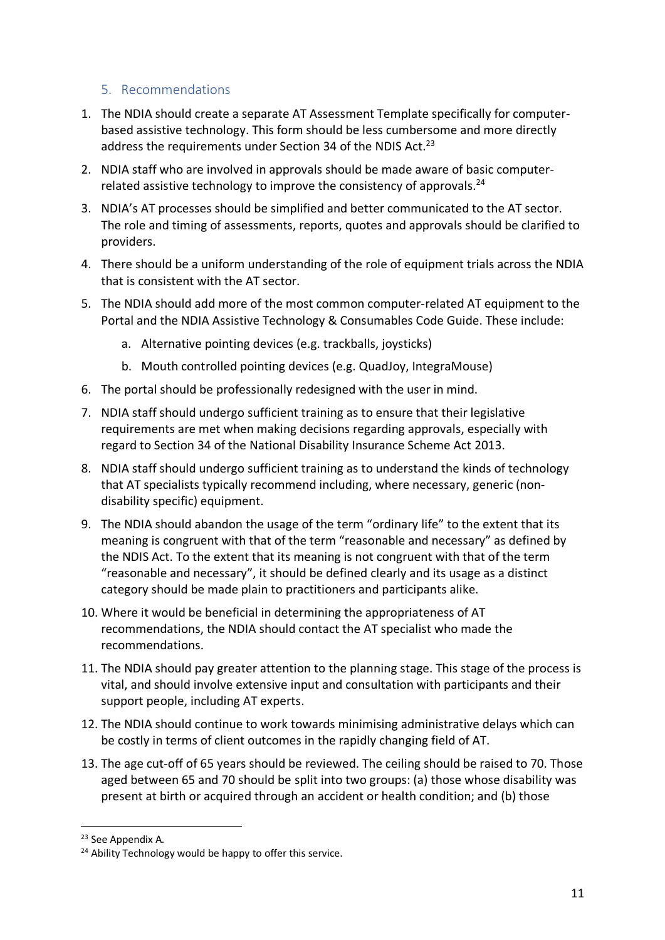## 5. Recommendations

- 1. The NDIA should create a separate AT Assessment Template specifically for computerbased assistive technology. This form should be less cumbersome and more directly address the requirements under Section 34 of the NDIS Act.<sup>23</sup>
- 2. NDIA staff who are involved in approvals should be made aware of basic computerrelated assistive technology to improve the consistency of approvals.<sup>24</sup>
- 3. NDIA's AT processes should be simplified and better communicated to the AT sector. The role and timing of assessments, reports, quotes and approvals should be clarified to providers.
- 4. There should be a uniform understanding of the role of equipment trials across the NDIA that is consistent with the AT sector.
- 5. The NDIA should add more of the most common computer-related AT equipment to the Portal and the NDIA Assistive Technology & Consumables Code Guide. These include:
	- a. Alternative pointing devices (e.g. trackballs, joysticks)
	- b. Mouth controlled pointing devices (e.g. QuadJoy, IntegraMouse)
- 6. The portal should be professionally redesigned with the user in mind.
- 7. NDIA staff should undergo sufficient training as to ensure that their legislative requirements are met when making decisions regarding approvals, especially with regard to Section 34 of the National Disability Insurance Scheme Act 2013.
- 8. NDIA staff should undergo sufficient training as to understand the kinds of technology that AT specialists typically recommend including, where necessary, generic (nondisability specific) equipment.
- 9. The NDIA should abandon the usage of the term "ordinary life" to the extent that its meaning is congruent with that of the term "reasonable and necessary" as defined by the NDIS Act. To the extent that its meaning is not congruent with that of the term "reasonable and necessary", it should be defined clearly and its usage as a distinct category should be made plain to practitioners and participants alike.
- 10. Where it would be beneficial in determining the appropriateness of AT recommendations, the NDIA should contact the AT specialist who made the recommendations.
- 11. The NDIA should pay greater attention to the planning stage. This stage of the process is vital, and should involve extensive input and consultation with participants and their support people, including AT experts.
- 12. The NDIA should continue to work towards minimising administrative delays which can be costly in terms of client outcomes in the rapidly changing field of AT.
- 13. The age cut-off of 65 years should be reviewed. The ceiling should be raised to 70. Those aged between 65 and 70 should be split into two groups: (a) those whose disability was present at birth or acquired through an accident or health condition; and (b) those

 <sup>23</sup> See Appendix A.

 $24$  Ability Technology would be happy to offer this service.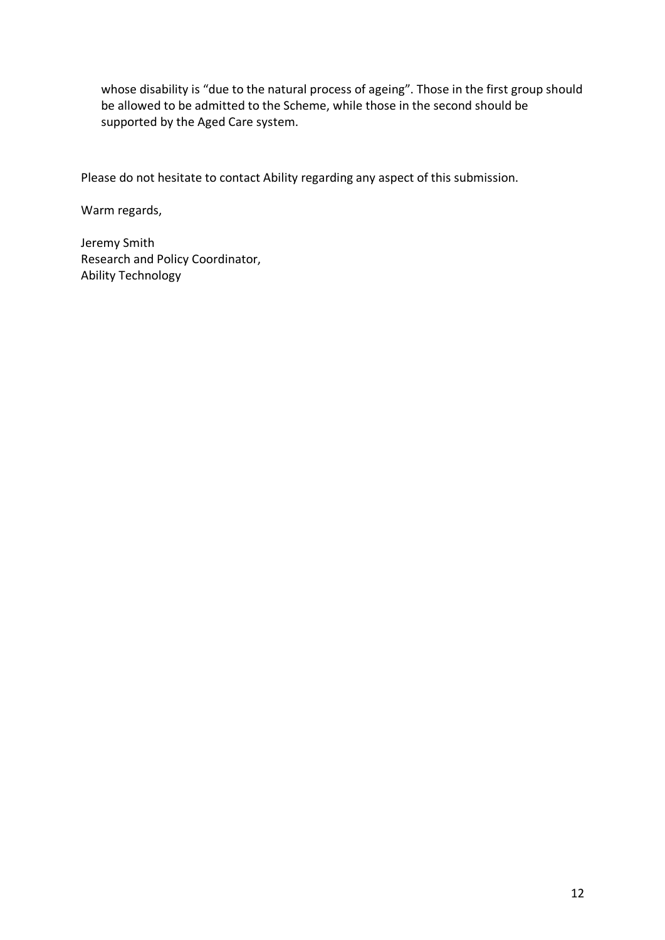whose disability is "due to the natural process of ageing". Those in the first group should be allowed to be admitted to the Scheme, while those in the second should be supported by the Aged Care system.

Please do not hesitate to contact Ability regarding any aspect of this submission.

Warm regards,

Jeremy Smith Research and Policy Coordinator, Ability Technology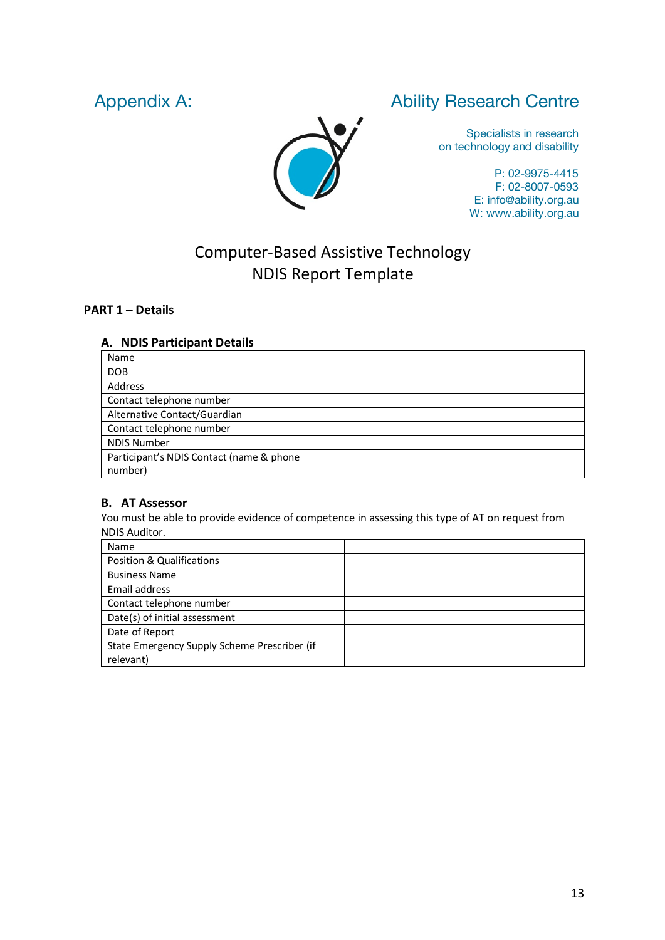# Appendix A: Ability Research Centre

Specialists in research on technology and disability

> P: 02-9975-4415 F: 02-8007-0593 E: info@ability.org.au W: www.ability.org.au

# Computer-Based Assistive Technology NDIS Report Template

#### **PART 1 – Details**

#### **A. NDIS Participant Details**

| Name                                     |  |
|------------------------------------------|--|
| <b>DOB</b>                               |  |
| Address                                  |  |
| Contact telephone number                 |  |
| Alternative Contact/Guardian             |  |
| Contact telephone number                 |  |
| <b>NDIS Number</b>                       |  |
| Participant's NDIS Contact (name & phone |  |
| number)                                  |  |

#### **B. AT Assessor**

You must be able to provide evidence of competence in assessing this type of AT on request from NDIS Auditor.

| Name                                         |  |
|----------------------------------------------|--|
| <b>Position &amp; Qualifications</b>         |  |
| <b>Business Name</b>                         |  |
| Email address                                |  |
| Contact telephone number                     |  |
| Date(s) of initial assessment                |  |
| Date of Report                               |  |
| State Emergency Supply Scheme Prescriber (if |  |
| relevant)                                    |  |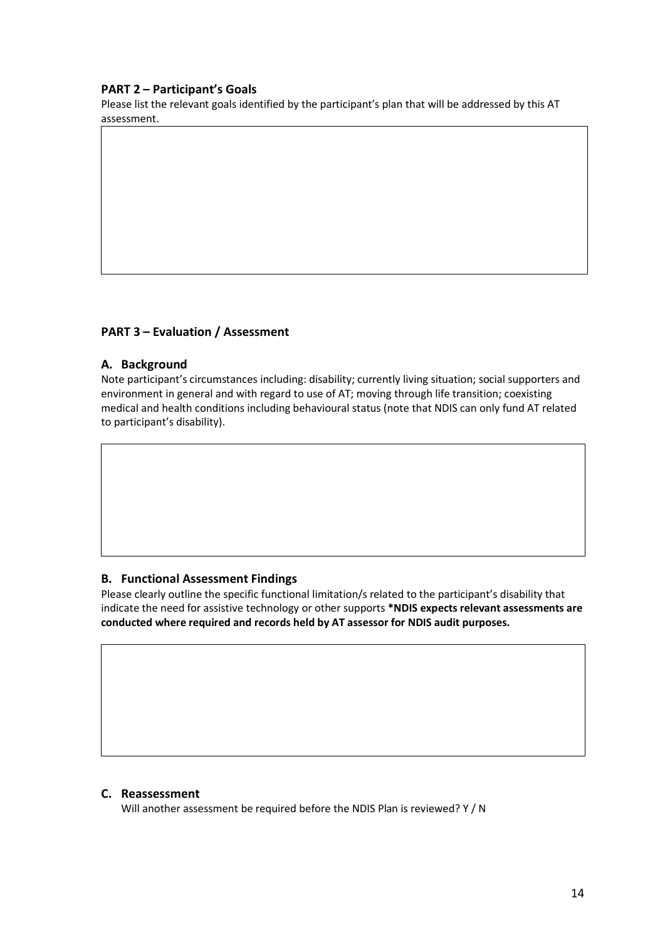#### **PART 2 – Participant's Goals**

Please list the relevant goals identified by the participant's plan that will be addressed by this AT assessment.

#### **PART 3 – Evaluation / Assessment**

#### **A. Background**

Note participant's circumstances including: disability; currently living situation; social supporters and environment in general and with regard to use of AT; moving through life transition; coexisting medical and health conditions including behavioural status (note that NDIS can only fund AT related to participant's disability).

#### **B. Functional Assessment Findings**

Please clearly outline the specific functional limitation/s related to the participant's disability that indicate the need for assistive technology or other supports **\*NDIS expects relevant assessments are conducted where required and records held by AT assessor for NDIS audit purposes.**

#### **C. Reassessment**

Will another assessment be required before the NDIS Plan is reviewed? Y / N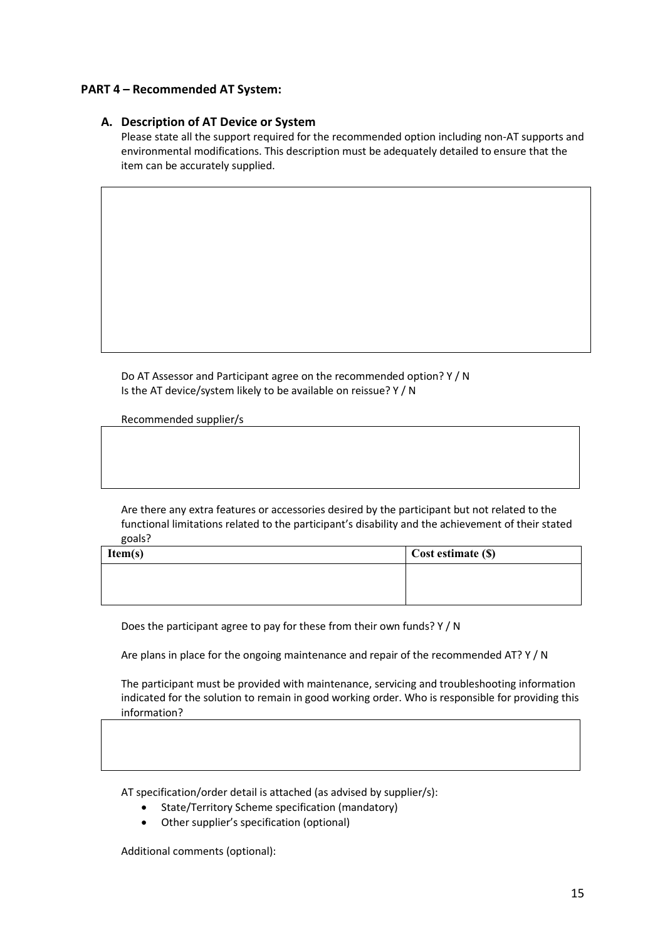#### **PART 4 – Recommended AT System:**

#### **A. Description of AT Device or System**

Please state all the support required for the recommended option including non-AT supports and environmental modifications. This description must be adequately detailed to ensure that the item can be accurately supplied.

Do AT Assessor and Participant agree on the recommended option? Y / N Is the AT device/system likely to be available on reissue? Y / N

Recommended supplier/s

Are there any extra features or accessories desired by the participant but not related to the functional limitations related to the participant's disability and the achievement of their stated goals?

| Item(s) | Cost estimate (\$) |
|---------|--------------------|
|         |                    |
|         |                    |
|         |                    |

Does the participant agree to pay for these from their own funds? Y / N

Are plans in place for the ongoing maintenance and repair of the recommended AT? Y / N

The participant must be provided with maintenance, servicing and troubleshooting information indicated for the solution to remain in good working order. Who is responsible for providing this information?

AT specification/order detail is attached (as advised by supplier/s):

- State/Territory Scheme specification (mandatory)
- Other supplier's specification (optional)

Additional comments (optional):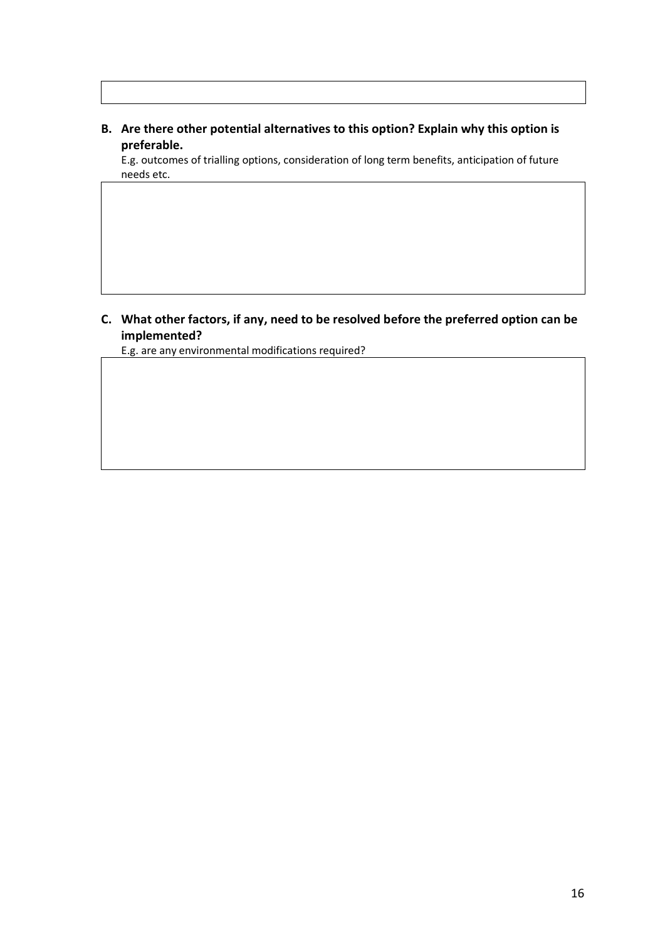### **B. Are there other potential alternatives to this option? Explain why this option is preferable.**

E.g. outcomes of trialling options, consideration of long term benefits, anticipation of future needs etc.

# **C. What other factors, if any, need to be resolved before the preferred option can be implemented?**

E.g. are any environmental modifications required?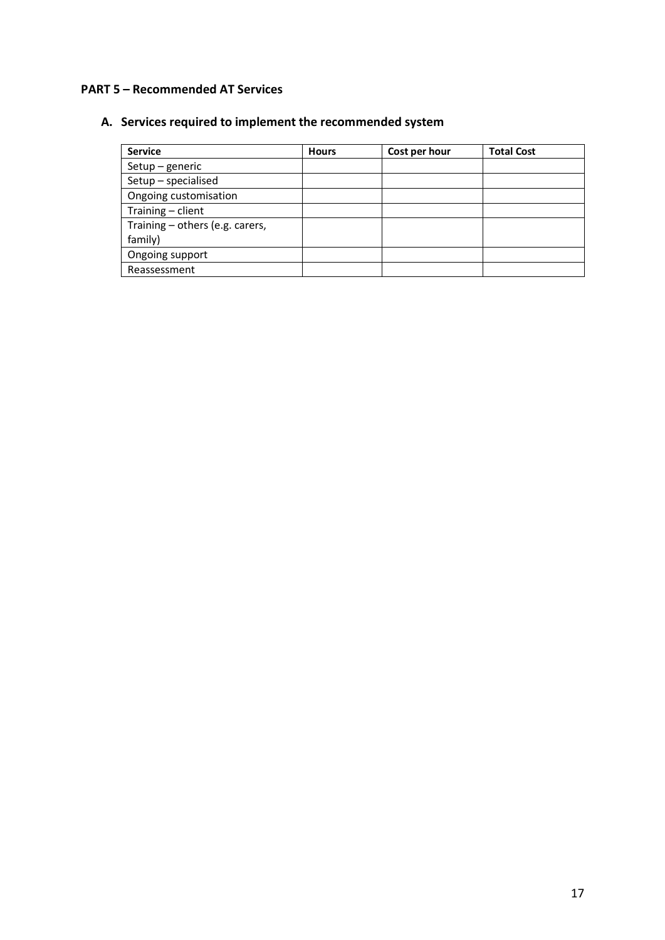### **PART 5 – Recommended AT Services**

# **A. Services required to implement the recommended system**

| <b>Service</b>                  | <b>Hours</b> | Cost per hour | <b>Total Cost</b> |
|---------------------------------|--------------|---------------|-------------------|
| $Setup - generic$               |              |               |                   |
| Setup - specialised             |              |               |                   |
| Ongoing customisation           |              |               |                   |
| Training - client               |              |               |                   |
| Training - others (e.g. carers, |              |               |                   |
| family)                         |              |               |                   |
| Ongoing support                 |              |               |                   |
| Reassessment                    |              |               |                   |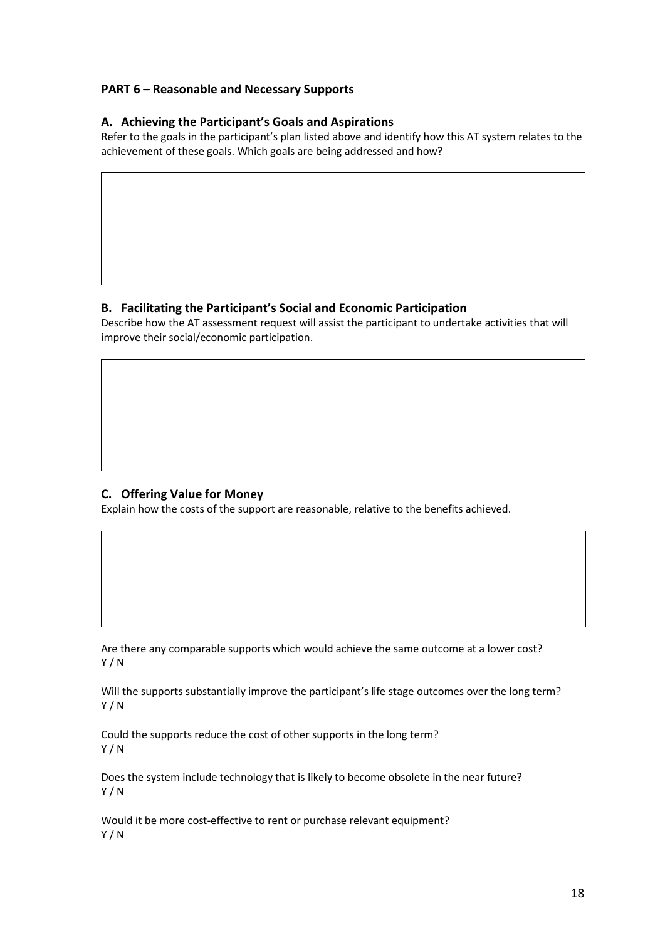#### **PART 6 – Reasonable and Necessary Supports**

#### **A. Achieving the Participant's Goals and Aspirations**

Refer to the goals in the participant's plan listed above and identify how this AT system relates to the achievement of these goals. Which goals are being addressed and how?

#### **B. Facilitating the Participant's Social and Economic Participation**

Describe how the AT assessment request will assist the participant to undertake activities that will improve their social/economic participation.

#### **C. Offering Value for Money**

Explain how the costs of the support are reasonable, relative to the benefits achieved.

Are there any comparable supports which would achieve the same outcome at a lower cost? Y / N

Will the supports substantially improve the participant's life stage outcomes over the long term? Y / N

Could the supports reduce the cost of other supports in the long term? Y / N

Does the system include technology that is likely to become obsolete in the near future? Y / N

Would it be more cost-effective to rent or purchase relevant equipment? Y / N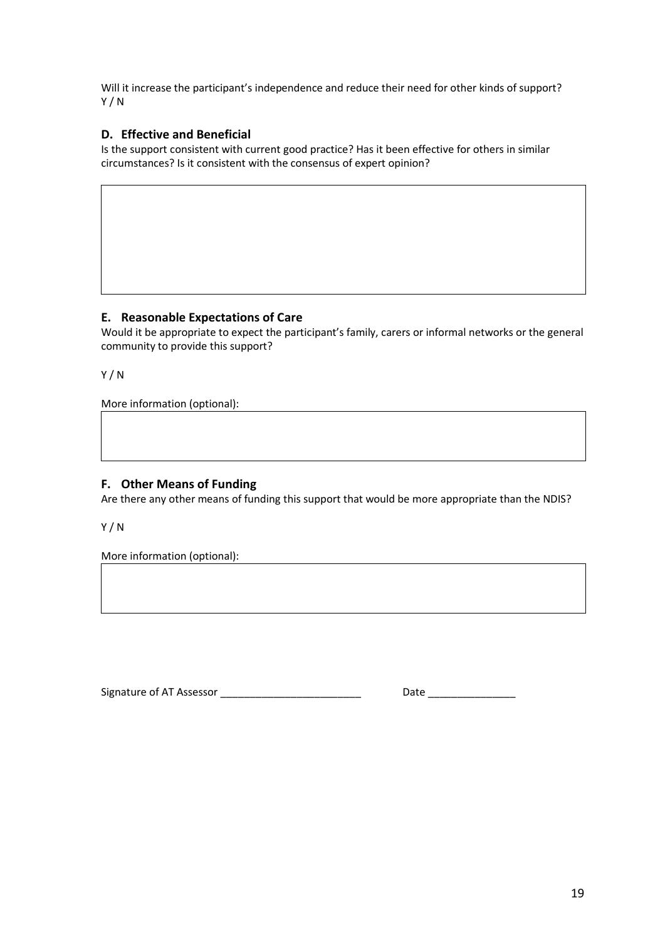Will it increase the participant's independence and reduce their need for other kinds of support? Y / N

### **D. Effective and Beneficial**

Is the support consistent with current good practice? Has it been effective for others in similar circumstances? Is it consistent with the consensus of expert opinion?

#### **E. Reasonable Expectations of Care**

Would it be appropriate to expect the participant's family, carers or informal networks or the general community to provide this support?

Y / N

More information (optional):  $\qquad \qquad \qquad$ 

### **F. Other Means of Funding**

Are there any other means of funding this support that would be more appropriate than the NDIS?

Y / N

More information (optional):

Signature of AT Assessor **Example 20** and the Date Date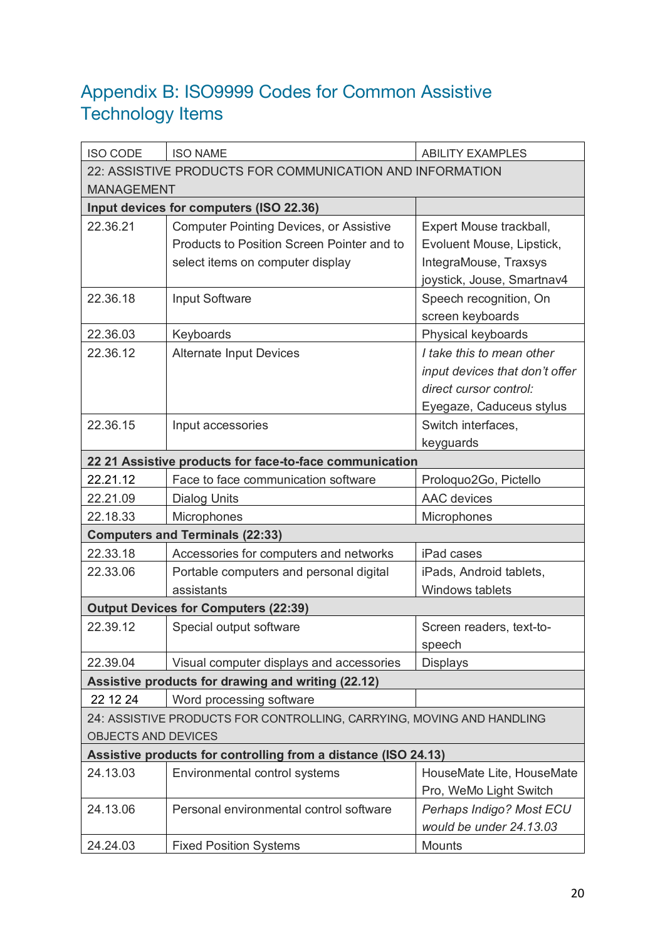# Appendix B: ISO9999 Codes for Common Assistive Technology Items

| <b>ISO CODE</b>                                                | <b>ISO NAME</b>                                                       | <b>ABILITY EXAMPLES</b>        |  |  |
|----------------------------------------------------------------|-----------------------------------------------------------------------|--------------------------------|--|--|
| 22: ASSISTIVE PRODUCTS FOR COMMUNICATION AND INFORMATION       |                                                                       |                                |  |  |
| <b>MANAGEMENT</b>                                              |                                                                       |                                |  |  |
|                                                                | Input devices for computers (ISO 22.36)                               |                                |  |  |
| 22.36.21                                                       | <b>Computer Pointing Devices, or Assistive</b>                        | Expert Mouse trackball,        |  |  |
|                                                                | Products to Position Screen Pointer and to                            | Evoluent Mouse, Lipstick,      |  |  |
|                                                                | select items on computer display                                      | IntegraMouse, Traxsys          |  |  |
|                                                                |                                                                       | joystick, Jouse, Smartnav4     |  |  |
| 22.36.18                                                       | Input Software                                                        | Speech recognition, On         |  |  |
|                                                                |                                                                       | screen keyboards               |  |  |
| 22.36.03                                                       | Keyboards                                                             | Physical keyboards             |  |  |
| 22.36.12                                                       | <b>Alternate Input Devices</b>                                        | I take this to mean other      |  |  |
|                                                                |                                                                       | input devices that don't offer |  |  |
|                                                                |                                                                       | direct cursor control:         |  |  |
|                                                                |                                                                       | Eyegaze, Caduceus stylus       |  |  |
| 22.36.15                                                       | Input accessories                                                     | Switch interfaces,             |  |  |
|                                                                |                                                                       | keyguards                      |  |  |
|                                                                | 22 21 Assistive products for face-to-face communication               |                                |  |  |
| 22.21.12                                                       | Face to face communication software                                   | Proloquo2Go, Pictello          |  |  |
| 22.21.09                                                       | <b>Dialog Units</b>                                                   | <b>AAC</b> devices             |  |  |
| 22.18.33                                                       | Microphones                                                           | Microphones                    |  |  |
|                                                                | <b>Computers and Terminals (22:33)</b>                                |                                |  |  |
| 22.33.18                                                       | Accessories for computers and networks                                | iPad cases                     |  |  |
| 22.33.06                                                       | Portable computers and personal digital                               | iPads, Android tablets,        |  |  |
|                                                                | assistants                                                            | Windows tablets                |  |  |
|                                                                | <b>Output Devices for Computers (22:39)</b>                           |                                |  |  |
| 22.39.12                                                       | Special output software                                               | Screen readers, text-to-       |  |  |
|                                                                |                                                                       | speech                         |  |  |
| 22.39.04                                                       | Visual computer displays and accessories                              | <b>Displays</b>                |  |  |
|                                                                | Assistive products for drawing and writing (22.12)                    |                                |  |  |
| 22 12 24                                                       | Word processing software                                              |                                |  |  |
|                                                                | 24: ASSISTIVE PRODUCTS FOR CONTROLLING, CARRYING, MOVING AND HANDLING |                                |  |  |
| <b>OBJECTS AND DEVICES</b>                                     |                                                                       |                                |  |  |
| Assistive products for controlling from a distance (ISO 24.13) |                                                                       |                                |  |  |
| 24.13.03                                                       | Environmental control systems                                         | HouseMate Lite, HouseMate      |  |  |
|                                                                |                                                                       | Pro, WeMo Light Switch         |  |  |
| 24.13.06                                                       | Personal environmental control software                               | Perhaps Indigo? Most ECU       |  |  |
|                                                                |                                                                       | would be under 24.13.03        |  |  |
| 24.24.03                                                       | <b>Fixed Position Systems</b>                                         | Mounts                         |  |  |